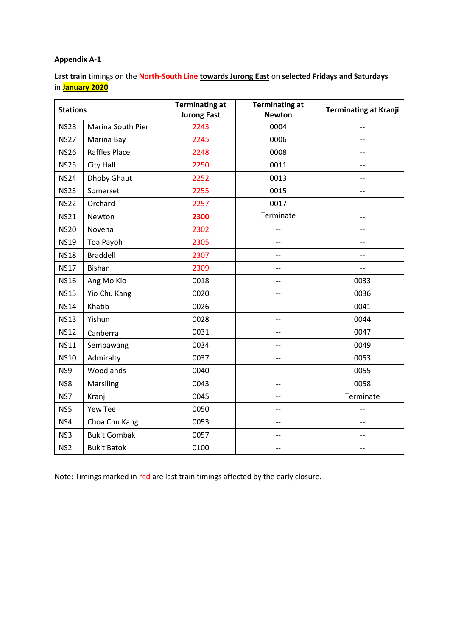**Last train** timings on the **North-South Line towards Jurong East** on **selected Fridays and Saturdays** in **January 2020**

| <b>Stations</b> |                     | <b>Terminating at</b><br><b>Jurong East</b> | <b>Terminating at</b><br><b>Newton</b> | <b>Terminating at Kranji</b> |
|-----------------|---------------------|---------------------------------------------|----------------------------------------|------------------------------|
| <b>NS28</b>     | Marina South Pier   | 2243                                        | 0004                                   | $-$                          |
| <b>NS27</b>     | Marina Bay          | 2245                                        | 0006                                   | $-1$                         |
| <b>NS26</b>     | Raffles Place       | 2248                                        | 0008                                   | $-$                          |
| <b>NS25</b>     | City Hall           | 2250                                        | 0011                                   | --                           |
| <b>NS24</b>     | <b>Dhoby Ghaut</b>  | 2252                                        | 0013                                   | --                           |
| <b>NS23</b>     | Somerset            | 2255                                        | 0015                                   | --                           |
| <b>NS22</b>     | Orchard             | 2257                                        | 0017                                   | --                           |
| <b>NS21</b>     | Newton              | 2300                                        | Terminate                              | $-$                          |
| <b>NS20</b>     | Novena              | 2302                                        |                                        | --                           |
| <b>NS19</b>     | Toa Payoh           | 2305                                        | --                                     | --                           |
| <b>NS18</b>     | <b>Braddell</b>     | 2307                                        | --                                     | --                           |
| <b>NS17</b>     | <b>Bishan</b>       | 2309                                        | --                                     | $-$                          |
| <b>NS16</b>     | Ang Mo Kio          | 0018                                        | --                                     | 0033                         |
| <b>NS15</b>     | Yio Chu Kang        | 0020                                        | --                                     | 0036                         |
| <b>NS14</b>     | Khatib              | 0026                                        | $-$                                    | 0041                         |
| <b>NS13</b>     | Yishun              | 0028                                        | --                                     | 0044                         |
| <b>NS12</b>     | Canberra            | 0031                                        | --                                     | 0047                         |
| <b>NS11</b>     | Sembawang           | 0034                                        | --                                     | 0049                         |
| <b>NS10</b>     | Admiralty           | 0037                                        | --                                     | 0053                         |
| NS9             | Woodlands           | 0040                                        | $-$                                    | 0055                         |
| NS8             | Marsiling           | 0043                                        | --                                     | 0058                         |
| NS7             | Kranji              | 0045                                        | $-$                                    | Terminate                    |
| NS5             | Yew Tee             | 0050                                        | $-$                                    |                              |
| NS4             | Choa Chu Kang       | 0053                                        | --                                     | $-$                          |
| NS3             | <b>Bukit Gombak</b> | 0057                                        | --                                     | $-$                          |
| NS <sub>2</sub> | <b>Bukit Batok</b>  | 0100                                        | --                                     | --                           |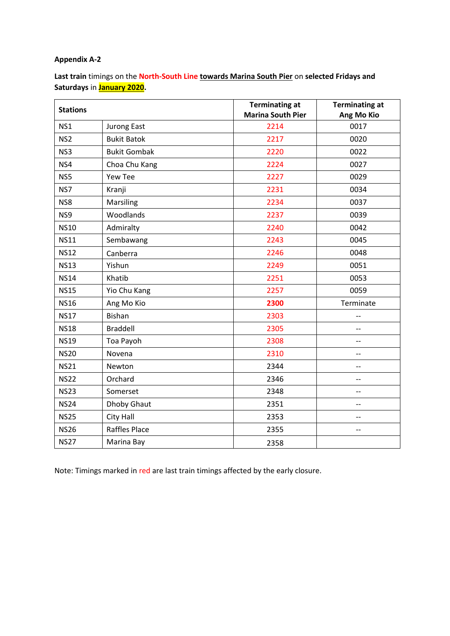| <b>Stations</b> |                     | <b>Terminating at</b><br><b>Marina South Pier</b> | <b>Terminating at</b><br>Ang Mo Kio |  |
|-----------------|---------------------|---------------------------------------------------|-------------------------------------|--|
| NS1             | <b>Jurong East</b>  | 2214                                              | 0017                                |  |
| NS <sub>2</sub> | <b>Bukit Batok</b>  | 2217                                              | 0020                                |  |
| NS3             | <b>Bukit Gombak</b> | 2220                                              | 0022                                |  |
| NS4             | Choa Chu Kang       | 2224                                              | 0027                                |  |
| NS5             | <b>Yew Tee</b>      | 2227                                              | 0029                                |  |
| NS7             | Kranji              | 2231                                              | 0034                                |  |
| NS8             | Marsiling           | 2234                                              | 0037                                |  |
| NS9             | Woodlands           | 2237                                              | 0039                                |  |
| <b>NS10</b>     | Admiralty           | 2240                                              | 0042                                |  |
| <b>NS11</b>     | Sembawang           | 2243                                              | 0045                                |  |
| <b>NS12</b>     | Canberra            | 2246                                              | 0048                                |  |
| <b>NS13</b>     | Yishun              | 2249                                              | 0051                                |  |
| <b>NS14</b>     | Khatib              | 2251                                              | 0053                                |  |
| <b>NS15</b>     | Yio Chu Kang        | 2257                                              | 0059                                |  |
| <b>NS16</b>     | Ang Mo Kio          | 2300                                              | Terminate                           |  |
| <b>NS17</b>     | <b>Bishan</b>       | 2303                                              |                                     |  |
| <b>NS18</b>     | <b>Braddell</b>     | 2305                                              |                                     |  |
| <b>NS19</b>     | Toa Payoh           | 2308                                              | $-$                                 |  |
| <b>NS20</b>     | Novena              | 2310                                              | $\overline{\phantom{a}}$            |  |
| <b>NS21</b>     | Newton              | 2344                                              | $-$                                 |  |
| <b>NS22</b>     | Orchard             | 2346                                              | $-$                                 |  |
| <b>NS23</b>     | Somerset            | 2348                                              | $-$                                 |  |
| <b>NS24</b>     | Dhoby Ghaut         | 2351                                              | $-$                                 |  |
| <b>NS25</b>     | City Hall           | 2353                                              | $\overline{\phantom{a}}$            |  |
| <b>NS26</b>     | Raffles Place       | 2355                                              | $-$                                 |  |
| <b>NS27</b>     | Marina Bay          | 2358                                              |                                     |  |

**Last train** timings on the **North-South Line towards Marina South Pier** on **selected Fridays and Saturdays** in **January 2020.**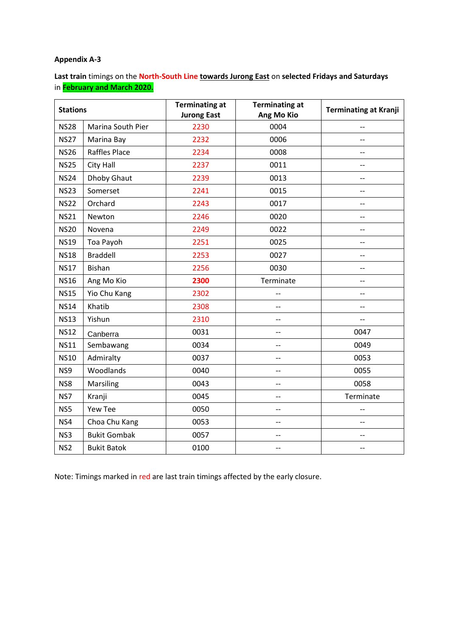# **Last train** timings on the **North-South Line towards Jurong East** on **selected Fridays and Saturdays** in **February and March 2020.**

| <b>Stations</b> |                      | <b>Terminating at</b><br><b>Jurong East</b> | <b>Terminating at</b><br>Ang Mo Kio | <b>Terminating at Kranji</b> |
|-----------------|----------------------|---------------------------------------------|-------------------------------------|------------------------------|
| <b>NS28</b>     | Marina South Pier    | 2230                                        | 0004                                | $-$                          |
| <b>NS27</b>     | Marina Bay           | 2232                                        | 0006                                | $-$                          |
| <b>NS26</b>     | <b>Raffles Place</b> | 2234                                        | 0008                                | --                           |
| <b>NS25</b>     | City Hall            | 2237                                        | 0011                                | --                           |
| <b>NS24</b>     | <b>Dhoby Ghaut</b>   | 2239                                        | 0013                                | $-$                          |
| <b>NS23</b>     | Somerset             | 2241                                        | 0015                                | --                           |
| <b>NS22</b>     | Orchard              | 2243                                        | 0017                                | $-$                          |
| <b>NS21</b>     | Newton               | 2246                                        | 0020                                | $-1$                         |
| <b>NS20</b>     | Novena               | 2249                                        | 0022                                | --                           |
| <b>NS19</b>     | Toa Payoh            | 2251                                        | 0025                                | $-$                          |
| <b>NS18</b>     | <b>Braddell</b>      | 2253                                        | 0027                                | --                           |
| <b>NS17</b>     | <b>Bishan</b>        | 2256                                        | 0030                                | --                           |
| <b>NS16</b>     | Ang Mo Kio           | 2300                                        | Terminate                           | --                           |
| <b>NS15</b>     | Yio Chu Kang         | 2302                                        |                                     | --                           |
| <b>NS14</b>     | Khatib               | 2308                                        |                                     | $-1$                         |
| <b>NS13</b>     | Yishun               | 2310                                        | --                                  | --                           |
| <b>NS12</b>     | Canberra             | 0031                                        | --                                  | 0047                         |
| <b>NS11</b>     | Sembawang            | 0034                                        | $-$                                 | 0049                         |
| <b>NS10</b>     | Admiralty            | 0037                                        | --                                  | 0053                         |
| NS9             | Woodlands            | 0040                                        | --                                  | 0055                         |
| NS8             | Marsiling            | 0043                                        | $-$                                 | 0058                         |
| NS7             | Kranji               | 0045                                        | --                                  | Terminate                    |
| NS5             | Yew Tee              | 0050                                        | --                                  |                              |
| NS4             | Choa Chu Kang        | 0053                                        | --                                  | $-$                          |
| NS3             | <b>Bukit Gombak</b>  | 0057                                        | --                                  | $-1$                         |
| NS <sub>2</sub> | <b>Bukit Batok</b>   | 0100                                        | --                                  | --                           |